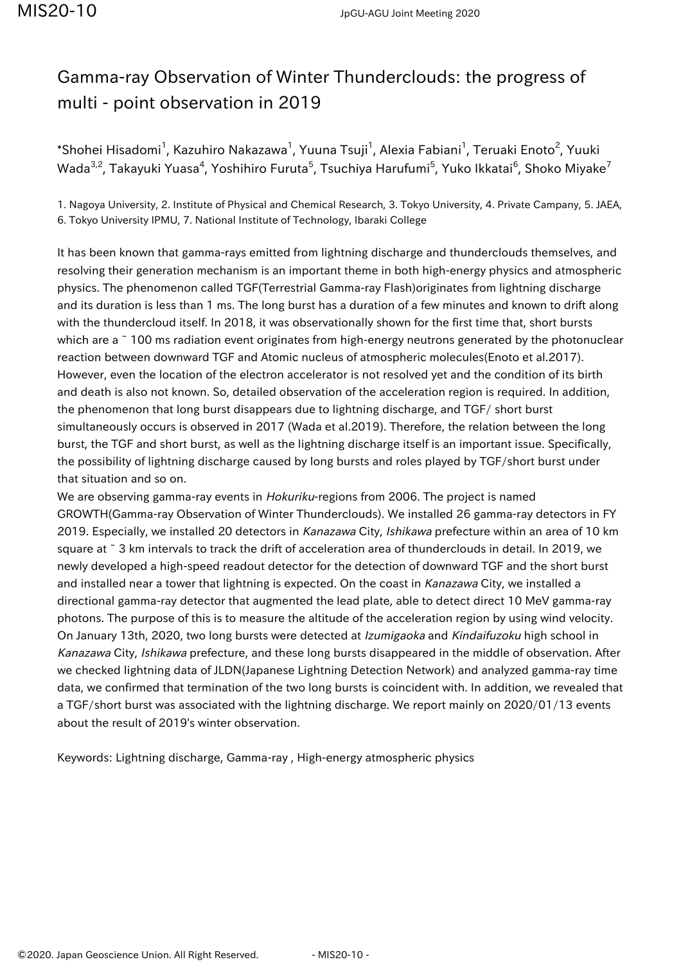## Gamma-ray Observation of Winter Thunderclouds: the progress of multi - point observation in 2019

 $\,$ \*Shohei Hisadomi $^1$ , Kazuhiro Nakazawa $^1$ , Yuuna Tsuji $^1$ , Alexia Fabiani $^1$ , Teruaki Enoto $^2$ , Yuuki Wada $^{3,2}$ , Takayuki Yuasa $^4$ , Yoshihiro Furuta $^5$ , Tsuchiya Harufumi $^5$ , Yuko Ikkatai $^6$ , Shoko Miyake $^7$ 

1. Nagoya University, 2. Institute of Physical and Chemical Research, 3. Tokyo University, 4. Private Campany, 5. JAEA, 6. Tokyo University IPMU, 7. National Institute of Technology, Ibaraki College

It has been known that gamma-rays emitted from lightning discharge and thunderclouds themselves, and resolving their generation mechanism is an important theme in both high-energy physics and atmospheric physics. The phenomenon called TGF(Terrestrial Gamma-ray Flash)originates from lightning discharge and its duration is less than 1 ms. The long burst has a duration of a few minutes and known to drift along with the thundercloud itself. In 2018, it was observationally shown for the first time that, short bursts which are a  $\tilde{a}$  100 ms radiation event originates from high-energy neutrons generated by the photonuclear reaction between downward TGF and Atomic nucleus of atmospheric molecules(Enoto et al.2017). However, even the location of the electron accelerator is not resolved yet and the condition of its birth and death is also not known. So, detailed observation of the acceleration region is required. In addition, the phenomenon that long burst disappears due to lightning discharge, and TGF/ short burst simultaneously occurs is observed in 2017 (Wada et al.2019). Therefore, the relation between the long burst, the TGF and short burst, as well as the lightning discharge itself is an important issue. Specifically, the possibility of lightning discharge caused by long bursts and roles played by TGF/short burst under that situation and so on.

We are observing gamma-ray events in Hokuriku-regions from 2006. The project is named GROWTH(Gamma-ray Observation of Winter Thunderclouds). We installed 26 gamma-ray detectors in FY 2019. Especially, we installed 20 detectors in Kanazawa City, Ishikawa prefecture within an area of 10 km square at ~ 3 km intervals to track the drift of acceleration area of thunderclouds in detail. In 2019, we newly developed a high-speed readout detector for the detection of downward TGF and the short burst and installed near a tower that lightning is expected. On the coast in Kanazawa City, we installed a directional gamma-ray detector that augmented the lead plate, able to detect direct 10 MeV gamma-ray photons. The purpose of this is to measure the altitude of the acceleration region by using wind velocity. On January 13th, 2020, two long bursts were detected at Izumigaoka and Kindaifuzoku high school in Kanazawa City, Ishikawa prefecture, and these long bursts disappeared in the middle of observation. After we checked lightning data of JLDN(Japanese Lightning Detection Network) and analyzed gamma-ray time data, we confirmed that termination of the two long bursts is coincident with. In addition, we revealed that a TGF/short burst was associated with the lightning discharge. We report mainly on 2020/01/13 events about the result of 2019's winter observation.

Keywords: Lightning discharge, Gamma-ray , High-energy atmospheric physics